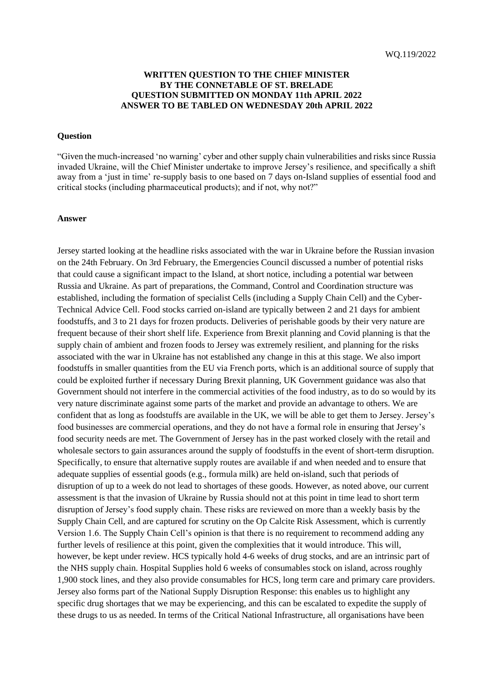## **WRITTEN QUESTION TO THE CHIEF MINISTER BY THE CONNETABLE OF ST. BRELADE QUESTION SUBMITTED ON MONDAY 11th APRIL 2022 ANSWER TO BE TABLED ON WEDNESDAY 20th APRIL 2022**

## **Question**

"Given the much-increased 'no warning' cyber and other supply chain vulnerabilities and risks since Russia invaded Ukraine, will the Chief Minister undertake to improve Jersey's resilience, and specifically a shift away from a 'just in time' re-supply basis to one based on 7 days on-Island supplies of essential food and critical stocks (including pharmaceutical products); and if not, why not?"

## **Answer**

Jersey started looking at the headline risks associated with the war in Ukraine before the Russian invasion on the 24th February. On 3rd February, the Emergencies Council discussed a number of potential risks that could cause a significant impact to the Island, at short notice, including a potential war between Russia and Ukraine. As part of preparations, the Command, Control and Coordination structure was established, including the formation of specialist Cells (including a Supply Chain Cell) and the Cyber-Technical Advice Cell. Food stocks carried on-island are typically between 2 and 21 days for ambient foodstuffs, and 3 to 21 days for frozen products. Deliveries of perishable goods by their very nature are frequent because of their short shelf life. Experience from Brexit planning and Covid planning is that the supply chain of ambient and frozen foods to Jersey was extremely resilient, and planning for the risks associated with the war in Ukraine has not established any change in this at this stage. We also import foodstuffs in smaller quantities from the EU via French ports, which is an additional source of supply that could be exploited further if necessary During Brexit planning, UK Government guidance was also that Government should not interfere in the commercial activities of the food industry, as to do so would by its very nature discriminate against some parts of the market and provide an advantage to others. We are confident that as long as foodstuffs are available in the UK, we will be able to get them to Jersey. Jersey's food businesses are commercial operations, and they do not have a formal role in ensuring that Jersey's food security needs are met. The Government of Jersey has in the past worked closely with the retail and wholesale sectors to gain assurances around the supply of foodstuffs in the event of short-term disruption. Specifically, to ensure that alternative supply routes are available if and when needed and to ensure that adequate supplies of essential goods (e.g., formula milk) are held on-island, such that periods of disruption of up to a week do not lead to shortages of these goods. However, as noted above, our current assessment is that the invasion of Ukraine by Russia should not at this point in time lead to short term disruption of Jersey's food supply chain. These risks are reviewed on more than a weekly basis by the Supply Chain Cell, and are captured for scrutiny on the Op Calcite Risk Assessment, which is currently Version 1.6. The Supply Chain Cell's opinion is that there is no requirement to recommend adding any further levels of resilience at this point, given the complexities that it would introduce. This will, however, be kept under review. HCS typically hold 4-6 weeks of drug stocks, and are an intrinsic part of the NHS supply chain. Hospital Supplies hold 6 weeks of consumables stock on island, across roughly 1,900 stock lines, and they also provide consumables for HCS, long term care and primary care providers. Jersey also forms part of the National Supply Disruption Response: this enables us to highlight any specific drug shortages that we may be experiencing, and this can be escalated to expedite the supply of these drugs to us as needed. In terms of the Critical National Infrastructure, all organisations have been